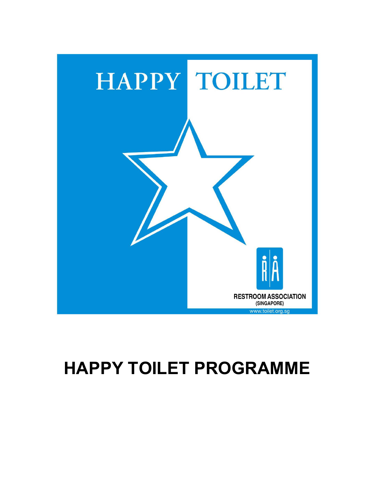

# HAPPY TOILET PROGRAMME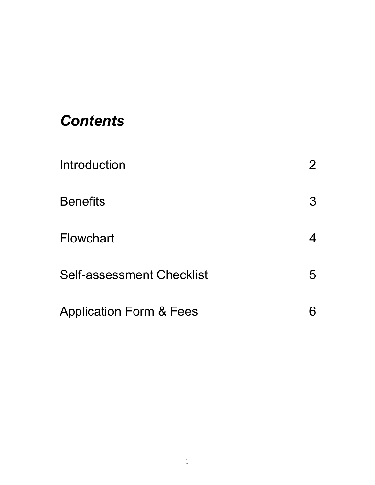## **Contents**

| Introduction                       |   |
|------------------------------------|---|
| <b>Benefits</b>                    | 3 |
| <b>Flowchart</b>                   |   |
| <b>Self-assessment Checklist</b>   | 5 |
| <b>Application Form &amp; Fees</b> |   |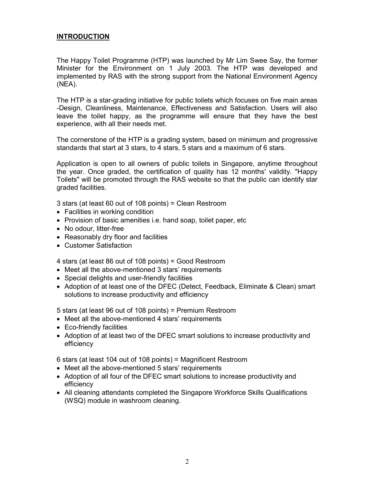#### INTRODUCTION

The Happy Toilet Programme (HTP) was launched by Mr Lim Swee Say, the former Minister for the Environment on 1 July 2003. The HTP was developed and implemented by RAS with the strong support from the National Environment Agency (NEA).

The HTP is a star-grading initiative for public toilets which focuses on five main areas -Design, Cleanliness, Maintenance, Effectiveness and Satisfaction. Users will also leave the toilet happy, as the programme will ensure that they have the best experience, with all their needs met.

The cornerstone of the HTP is a grading system, based on minimum and progressive standards that start at 3 stars, to 4 stars, 5 stars and a maximum of 6 stars.

Application is open to all owners of public toilets in Singapore, anytime throughout the year. Once graded, the certification of quality has 12 months' validity. "Happy Toilets" will be promoted through the RAS website so that the public can identify star graded facilities.

3 stars (at least 60 out of 108 points) = Clean Restroom

- Facilities in working condition
- Provision of basic amenities i.e. hand soap, toilet paper, etc
- No odour, litter-free
- Reasonably dry floor and facilities
- Customer Satisfaction

4 stars (at least 86 out of 108 points) = Good Restroom

- Meet all the above-mentioned 3 stars' requirements
- Special delights and user-friendly facilities
- Adoption of at least one of the DFEC (Detect, Feedback, Eliminate & Clean) smart solutions to increase productivity and efficiency

5 stars (at least 96 out of 108 points) = Premium Restroom

- Meet all the above-mentioned 4 stars' requirements
- Eco-friendly facilities
- Adoption of at least two of the DFEC smart solutions to increase productivity and efficiency

6 stars (at least 104 out of 108 points) = Magnificent Restroom

- Meet all the above-mentioned 5 stars' requirements
- Adoption of all four of the DFEC smart solutions to increase productivity and efficiency
- All cleaning attendants completed the Singapore Workforce Skills Qualifications (WSQ) module in washroom cleaning.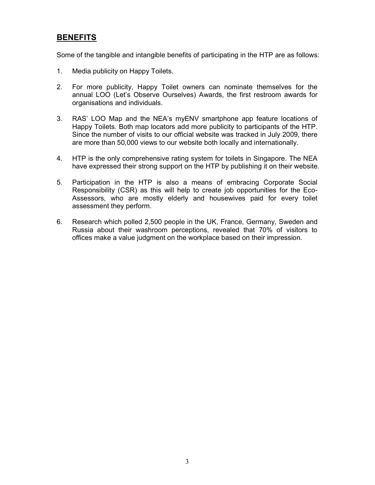### **BENEFITS**

Some of the tangible and intangible benefits of participating in the HTP are as follows:

- 1. Media publicity on Happy Toilets.
- 2. For more publicity, Happy Toilet owners can nominate themselves for the annual LOO (Let's Observe Ourselves) Awards, the first restroom awards for organisations and individuals.
- 3. RAS' LOO Map and the NEA's myENV smartphone app feature locations of Happy Toilets. Both map locators add more publicity to participants of the HTP. Since the number of visits to our official website was tracked in July 2009, there are more than 50,000 views to our website both locally and internationally.
- 4. HTP is the only comprehensive rating system for toilets in Singapore. The NEA have expressed their strong support on the HTP by publishing it on their website.
- 5. Participation in the HTP is also a means of embracing Corporate Social Responsibility (CSR) as this will help to create job opportunities for the Eco-Assessors, who are mostly elderly and housewives paid for every toilet assessment they perform.
- 6. Research which polled 2,500 people in the UK, France, Germany, Sweden and Russia about their washroom perceptions, revealed that 70% of visitors to offices make a value judgment on the workplace based on their impression.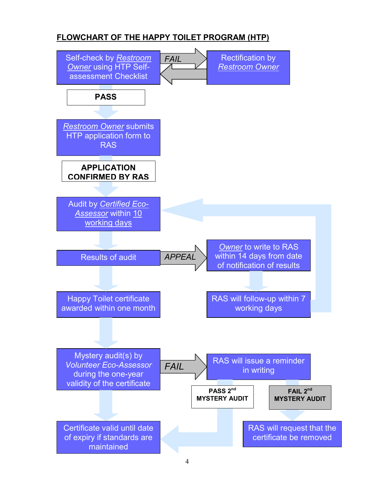## FLOWCHART OF THE HAPPY TOILET PROGRAM (HTP)

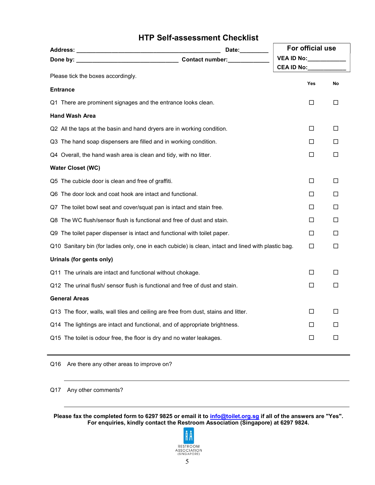## HTP Self-assessment Checklist

| Date: $\_\_$                                                                                         | For official use         |        |
|------------------------------------------------------------------------------------------------------|--------------------------|--------|
|                                                                                                      | <b>VEA ID No:</b>        |        |
| Please tick the boxes accordingly.                                                                   | <b>CEA ID No:</b><br>Yes | No     |
| <b>Entrance</b>                                                                                      |                          |        |
| Q1 There are prominent signages and the entrance looks clean.                                        | □                        | $\Box$ |
| <b>Hand Wash Area</b>                                                                                |                          |        |
| Q2 All the taps at the basin and hand dryers are in working condition.                               | □                        | □      |
| Q3 The hand soap dispensers are filled and in working condition.                                     | П                        | □      |
| Q4 Overall, the hand wash area is clean and tidy, with no litter.                                    | □                        | □      |
| <b>Water Closet (WC)</b>                                                                             |                          |        |
| Q5 The cubicle door is clean and free of graffiti.                                                   | □                        | □      |
| Q6 The door lock and coat hook are intact and functional.                                            | □                        | П      |
| Q7 The toilet bowl seat and cover/squat pan is intact and stain free.                                | □                        | □      |
| Q8 The WC flush/sensor flush is functional and free of dust and stain.                               | П                        | □      |
| Q9 The toilet paper dispenser is intact and functional with toilet paper.                            | □                        | □      |
| Q10 Sanitary bin (for ladies only, one in each cubicle) is clean, intact and lined with plastic bag. | □                        | П      |
| Urinals (for gents only)                                                                             |                          |        |
| Q11 The urinals are intact and functional without chokage.                                           | □                        | □      |
| Q12 The urinal flush/ sensor flush is functional and free of dust and stain.                         | □                        | □      |
| <b>General Areas</b>                                                                                 |                          |        |
| Q13 The floor, walls, wall tiles and ceiling are free from dust, stains and litter.                  | □                        | □      |
| Q14 The lightings are intact and functional, and of appropriate brightness.                          | П                        | П      |
| Q15 The toilet is odour free, the floor is dry and no water leakages.                                | □                        | □      |

#### Q16 Are there any other areas to improve on?

Q17 Any other comments?

Please fax the completed form to 6297 9825 or email it to info@toilet.org.sg if all of the answers are "Yes". For enquiries, kindly contact the Restroom Association (Singapore) at 6297 9824.

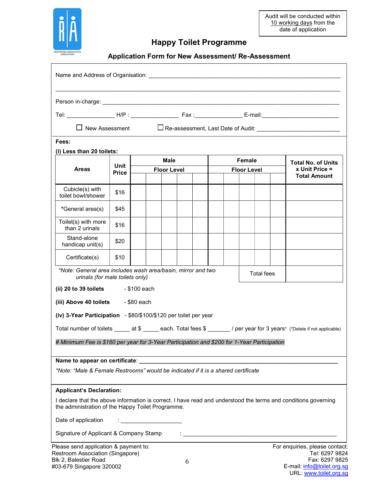

## Happy Toilet Programme

Application Form for New Assessment/ Re-Assessment

| $\Box$ New Assessment                                                                                                                                               |                      |                                   |  |  |   |  |                              |  |                   |  |                                                                                                                          |
|---------------------------------------------------------------------------------------------------------------------------------------------------------------------|----------------------|-----------------------------------|--|--|---|--|------------------------------|--|-------------------|--|--------------------------------------------------------------------------------------------------------------------------|
| Fees:                                                                                                                                                               |                      |                                   |  |  |   |  |                              |  |                   |  |                                                                                                                          |
| (i) Less than 20 toilets:                                                                                                                                           |                      |                                   |  |  |   |  |                              |  |                   |  |                                                                                                                          |
| <b>Areas</b>                                                                                                                                                        | Unit<br><b>Price</b> | <b>Male</b><br><b>Floor Level</b> |  |  |   |  | Female<br><b>Floor Level</b> |  |                   |  | <b>Total No. of Units</b><br>x Unit Price =                                                                              |
|                                                                                                                                                                     |                      |                                   |  |  |   |  |                              |  |                   |  | <b>Total Amount</b>                                                                                                      |
| Cubicle(s) with<br>toilet bowl/shower                                                                                                                               | \$16                 |                                   |  |  |   |  |                              |  |                   |  |                                                                                                                          |
| *General area(s)                                                                                                                                                    | \$45                 |                                   |  |  |   |  |                              |  |                   |  |                                                                                                                          |
| Toilet(s) with more<br>than 2 urinals                                                                                                                               | \$16                 |                                   |  |  |   |  |                              |  |                   |  |                                                                                                                          |
| Stand-alone<br>handicap unit(s)                                                                                                                                     | \$20                 |                                   |  |  |   |  |                              |  |                   |  |                                                                                                                          |
| Certificate(s)                                                                                                                                                      | \$10                 |                                   |  |  |   |  |                              |  |                   |  |                                                                                                                          |
| *Note: General area includes wash area/basin, mirror and two<br>urinals (for male toilets only)                                                                     |                      |                                   |  |  |   |  |                              |  | <b>Total fees</b> |  |                                                                                                                          |
| (ii) 20 to 39 toilets                                                                                                                                               |                      | - \$100 each                      |  |  |   |  |                              |  |                   |  |                                                                                                                          |
| (iii) Above 40 toilets                                                                                                                                              |                      | - \$80 each                       |  |  |   |  |                              |  |                   |  |                                                                                                                          |
| (iv) 3-Year Participation - \$80/\$100/\$120 per toilet per year                                                                                                    |                      |                                   |  |  |   |  |                              |  |                   |  |                                                                                                                          |
|                                                                                                                                                                     |                      |                                   |  |  |   |  |                              |  |                   |  | Total number of toilets _____ at \$ _____ each. Total fees \$ ______ / per year for 3 years* (*Delete if not applicable) |
| # Minimum Fee is \$160 per year for 3-Year Participation and \$200 for 1-Year Participation                                                                         |                      |                                   |  |  |   |  |                              |  |                   |  |                                                                                                                          |
|                                                                                                                                                                     |                      |                                   |  |  |   |  |                              |  |                   |  |                                                                                                                          |
| *Note: "Male & Female Restrooms" would be indicated if it is a shared certificate                                                                                   |                      |                                   |  |  |   |  |                              |  |                   |  |                                                                                                                          |
| <b>Applicant's Declaration:</b>                                                                                                                                     |                      |                                   |  |  |   |  |                              |  |                   |  |                                                                                                                          |
| I declare that the above information is correct. I have read and understood the terms and conditions governing<br>the administration of the Happy Toilet Programme. |                      |                                   |  |  |   |  |                              |  |                   |  |                                                                                                                          |
| Date of application                                                                                                                                                 |                      |                                   |  |  |   |  |                              |  |                   |  |                                                                                                                          |
| Signature of Applicant & Company Stamp                                                                                                                              |                      |                                   |  |  |   |  |                              |  |                   |  |                                                                                                                          |
| Please send application & payment to:<br>Restroom Association (Singapore)                                                                                           |                      |                                   |  |  |   |  |                              |  |                   |  | For enquiries, please contact:<br>Tel: 6297 9824                                                                         |
| Blk 2, Balestier Road                                                                                                                                               |                      |                                   |  |  | 6 |  |                              |  |                   |  | Fax: 6297 9825                                                                                                           |
| #03-679 Singapore 320002                                                                                                                                            |                      |                                   |  |  |   |  |                              |  |                   |  | E-mail: info@toilet.org.sg                                                                                               |